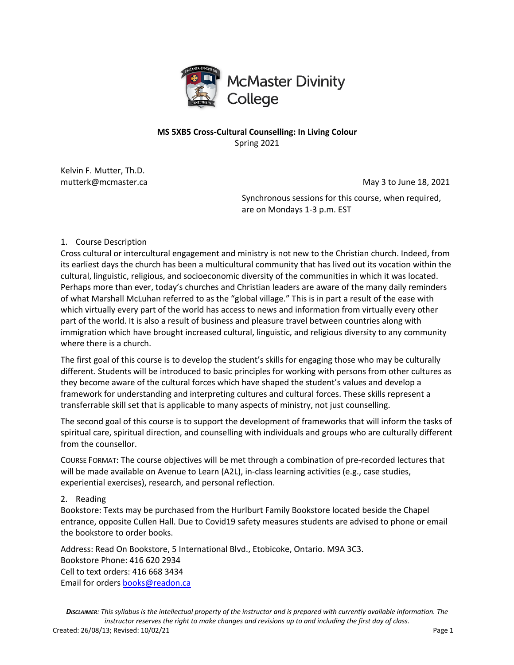

# **MS 5XB5 Cross-Cultural Counselling: In Living Colour** Spring 2021

Kelvin F. Mutter, Th.D.

mutterk@mcmaster.ca May 3 to June 18, 2021

Synchronous sessions for this course, when required, are on Mondays 1-3 p.m. EST

## 1. Course Description

Cross cultural or intercultural engagement and ministry is not new to the Christian church. Indeed, from its earliest days the church has been a multicultural community that has lived out its vocation within the cultural, linguistic, religious, and socioeconomic diversity of the communities in which it was located. Perhaps more than ever, today's churches and Christian leaders are aware of the many daily reminders of what Marshall McLuhan referred to as the "global village." This is in part a result of the ease with which virtually every part of the world has access to news and information from virtually every other part of the world. It is also a result of business and pleasure travel between countries along with immigration which have brought increased cultural, linguistic, and religious diversity to any community where there is a church.

The first goal of this course is to develop the student's skills for engaging those who may be culturally different. Students will be introduced to basic principles for working with persons from other cultures as they become aware of the cultural forces which have shaped the student's values and develop a framework for understanding and interpreting cultures and cultural forces. These skills represent a transferrable skill set that is applicable to many aspects of ministry, not just counselling.

The second goal of this course is to support the development of frameworks that will inform the tasks of spiritual care, spiritual direction, and counselling with individuals and groups who are culturally different from the counsellor.

COURSE FORMAT: The course objectives will be met through a combination of pre-recorded lectures that will be made available on Avenue to Learn (A2L), in-class learning activities (e.g., case studies, experiential exercises), research, and personal reflection.

# 2. Reading

Bookstore: Texts may be purchased from the Hurlburt Family Bookstore located beside the Chapel entrance, opposite Cullen Hall. Due to Covid19 safety measures students are advised to phone or email the bookstore to order books.

Address: Read On Bookstore, 5 International Blvd., Etobicoke, Ontario. M9A 3C3. Bookstore Phone: 416 620 2934 Cell to text orders: 416 668 3434 Email for orders books@readon.ca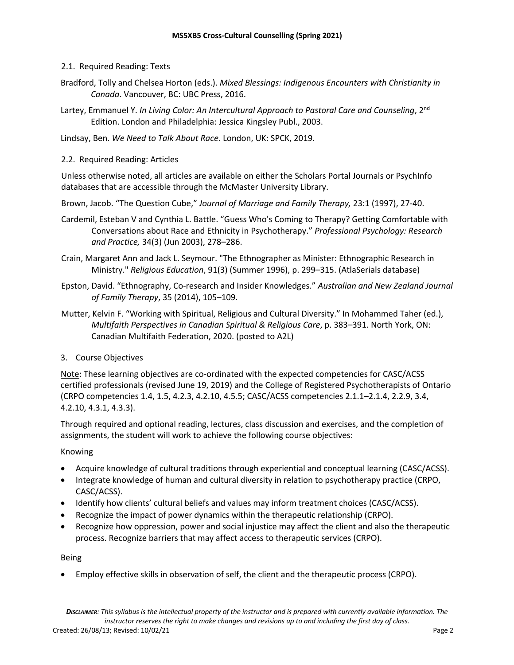- 2.1. Required Reading: Texts
- Bradford, Tolly and Chelsea Horton (eds.). *Mixed Blessings: Indigenous Encounters with Christianity in Canada*. Vancouver, BC: UBC Press, 2016.
- Lartey, Emmanuel Y. *In Living Color: An Intercultural Approach to Pastoral Care and Counseling*, 2<sup>nd</sup> Edition. London and Philadelphia: Jessica Kingsley Publ., 2003.

Lindsay, Ben. *We Need to Talk About Race*. London, UK: SPCK, 2019.

2.2. Required Reading: Articles

Unless otherwise noted, all articles are available on either the Scholars Portal Journals or PsychInfo databases that are accessible through the McMaster University Library.

Brown, Jacob. "The Question Cube," *Journal of Marriage and Family Therapy,* 23:1 (1997), 27-40.

- Cardemil, Esteban V and Cynthia L. Battle. "Guess Who's Coming to Therapy? Getting Comfortable with Conversations about Race and Ethnicity in Psychotherapy." *Professional Psychology: Research and Practice,* 34(3) (Jun 2003), 278–286.
- Crain, Margaret Ann and Jack L. Seymour. "The Ethnographer as Minister: Ethnographic Research in Ministry." *Religious Education*, 91(3) (Summer 1996), p. 299–315. (AtlaSerials database)
- Epston, David. "Ethnography, Co-research and Insider Knowledges." *Australian and New Zealand Journal of Family Therapy*, 35 (2014), 105–109.
- Mutter, Kelvin F. "Working with Spiritual, Religious and Cultural Diversity." In Mohammed Taher (ed.), *Multifaith Perspectives in Canadian Spiritual & Religious Care*, p. 383–391. North York, ON: Canadian Multifaith Federation, 2020. (posted to A2L)

# 3. Course Objectives

Note: These learning objectives are co-ordinated with the expected competencies for CASC/ACSS certified professionals (revised June 19, 2019) and the College of Registered Psychotherapists of Ontario (CRPO competencies 1.4, 1.5, 4.2.3, 4.2.10, 4.5.5; CASC/ACSS competencies 2.1.1–2.1.4, 2.2.9, 3.4, 4.2.10, 4.3.1, 4.3.3).

Through required and optional reading, lectures, class discussion and exercises, and the completion of assignments, the student will work to achieve the following course objectives:

## Knowing

- Acquire knowledge of cultural traditions through experiential and conceptual learning (CASC/ACSS).
- Integrate knowledge of human and cultural diversity in relation to psychotherapy practice (CRPO, CASC/ACSS).
- Identify how clients' cultural beliefs and values may inform treatment choices (CASC/ACSS).
- Recognize the impact of power dynamics within the therapeutic relationship (CRPO).
- Recognize how oppression, power and social injustice may affect the client and also the therapeutic process. Recognize barriers that may affect access to therapeutic services (CRPO).

## Being

• Employ effective skills in observation of self, the client and the therapeutic process (CRPO).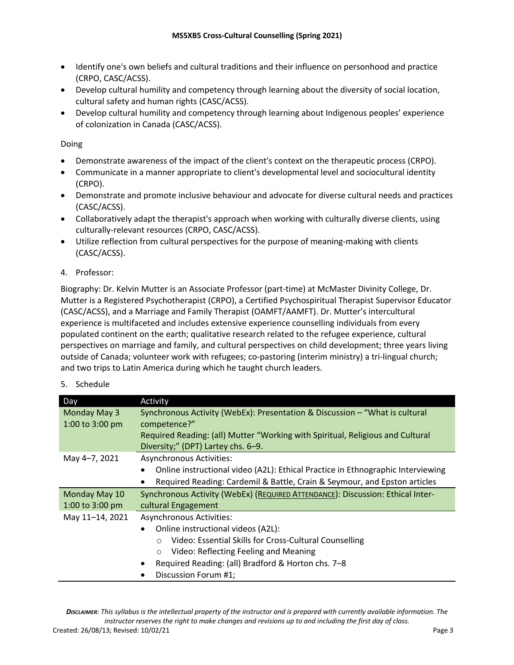- Identify one's own beliefs and cultural traditions and their influence on personhood and practice (CRPO, CASC/ACSS).
- Develop cultural humility and competency through learning about the diversity of social location, cultural safety and human rights (CASC/ACSS).
- Develop cultural humility and competency through learning about Indigenous peoples' experience of colonization in Canada (CASC/ACSS).

Doing

- Demonstrate awareness of the impact of the client's context on the therapeutic process (CRPO).
- Communicate in a manner appropriate to client's developmental level and sociocultural identity (CRPO).
- Demonstrate and promote inclusive behaviour and advocate for diverse cultural needs and practices (CASC/ACSS).
- Collaboratively adapt the therapist's approach when working with culturally diverse clients, using culturally-relevant resources (CRPO, CASC/ACSS).
- Utilize reflection from cultural perspectives for the purpose of meaning-making with clients (CASC/ACSS).
- 4. Professor:

Biography: Dr. Kelvin Mutter is an Associate Professor (part-time) at McMaster Divinity College, Dr. Mutter is a Registered Psychotherapist (CRPO), a Certified Psychospiritual Therapist Supervisor Educator (CASC/ACSS), and a Marriage and Family Therapist (OAMFT/AAMFT). Dr. Mutter's intercultural experience is multifaceted and includes extensive experience counselling individuals from every populated continent on the earth; qualitative research related to the refugee experience, cultural perspectives on marriage and family, and cultural perspectives on child development; three years living outside of Canada; volunteer work with refugees; co-pastoring (interim ministry) a tri-lingual church; and two trips to Latin America during which he taught church leaders.

| Day                       | Activity                                                                        |
|---------------------------|---------------------------------------------------------------------------------|
| Monday May 3              | Synchronous Activity (WebEx): Presentation & Discussion - "What is cultural     |
| 1:00 to 3:00 pm           | competence?"                                                                    |
|                           | Required Reading: (all) Mutter "Working with Spiritual, Religious and Cultural  |
|                           | Diversity;" (DPT) Lartey chs. 6-9.                                              |
| May 4-7, 2021             | <b>Asynchronous Activities:</b>                                                 |
|                           | Online instructional video (A2L): Ethical Practice in Ethnographic Interviewing |
|                           | Required Reading: Cardemil & Battle, Crain & Seymour, and Epston articles       |
| Monday May 10             | Synchronous Activity (WebEx) (REQUIRED ATTENDANCE): Discussion: Ethical Inter-  |
| 1:00 to $3:00 \text{ pm}$ | cultural Engagement                                                             |
| May 11-14, 2021           | <b>Asynchronous Activities:</b>                                                 |
|                           | Online instructional videos (A2L):<br>$\bullet$                                 |
|                           | Video: Essential Skills for Cross-Cultural Counselling                          |
|                           | Video: Reflecting Feeling and Meaning                                           |
|                           | Required Reading: (all) Bradford & Horton chs. 7-8<br>$\bullet$                 |
|                           | Discussion Forum #1;                                                            |

## 5. Schedule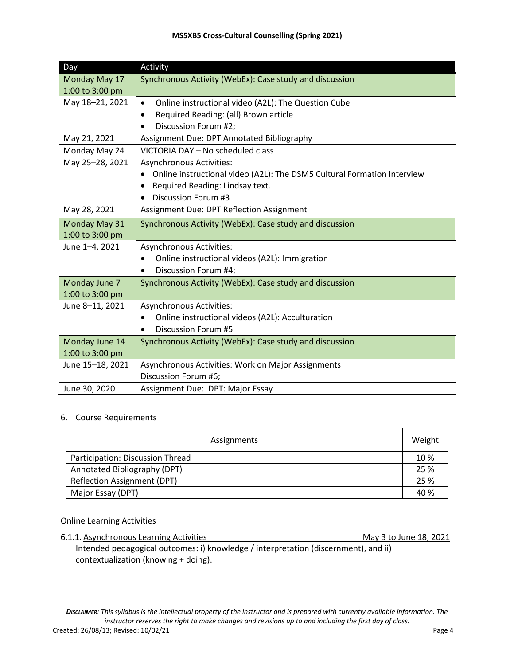### **MS5XB5 Cross-Cultural Counselling (Spring 2021)**

| Day              | Activity                                                                             |
|------------------|--------------------------------------------------------------------------------------|
| Monday May 17    | Synchronous Activity (WebEx): Case study and discussion                              |
| 1:00 to 3:00 pm  |                                                                                      |
| May 18-21, 2021  | Online instructional video (A2L): The Question Cube<br>$\bullet$                     |
|                  | Required Reading: (all) Brown article<br>٠                                           |
|                  | Discussion Forum #2;                                                                 |
| May 21, 2021     | Assignment Due: DPT Annotated Bibliography                                           |
| Monday May 24    | VICTORIA DAY - No scheduled class                                                    |
| May 25-28, 2021  | <b>Asynchronous Activities:</b>                                                      |
|                  | Online instructional video (A2L): The DSM5 Cultural Formation Interview<br>$\bullet$ |
|                  | Required Reading: Lindsay text.                                                      |
|                  | <b>Discussion Forum #3</b>                                                           |
| May 28, 2021     | Assignment Due: DPT Reflection Assignment                                            |
| Monday May 31    | Synchronous Activity (WebEx): Case study and discussion                              |
| 1:00 to 3:00 pm  |                                                                                      |
| June 1-4, 2021   | <b>Asynchronous Activities:</b>                                                      |
|                  | Online instructional videos (A2L): Immigration                                       |
|                  | Discussion Forum #4;<br>$\bullet$                                                    |
| Monday June 7    | Synchronous Activity (WebEx): Case study and discussion                              |
| 1:00 to 3:00 pm  |                                                                                      |
| June 8-11, 2021  | <b>Asynchronous Activities:</b>                                                      |
|                  | Online instructional videos (A2L): Acculturation                                     |
|                  | <b>Discussion Forum #5</b><br>$\bullet$                                              |
| Monday June 14   | Synchronous Activity (WebEx): Case study and discussion                              |
| 1:00 to 3:00 pm  |                                                                                      |
| June 15-18, 2021 | Asynchronous Activities: Work on Major Assignments                                   |
|                  | Discussion Forum #6;                                                                 |
| June 30, 2020    | Assignment Due: DPT: Major Essay                                                     |

## 6. Course Requirements

| Assignments                      |  |
|----------------------------------|--|
| Participation: Discussion Thread |  |
| Annotated Bibliography (DPT)     |  |
| Reflection Assignment (DPT)      |  |
| Major Essay (DPT)                |  |

### Online Learning Activities

6.1.1. Asynchronous Learning Activities May 3 to June 18, 2021

Intended pedagogical outcomes: i) knowledge / interpretation (discernment), and ii) contextualization (knowing + doing).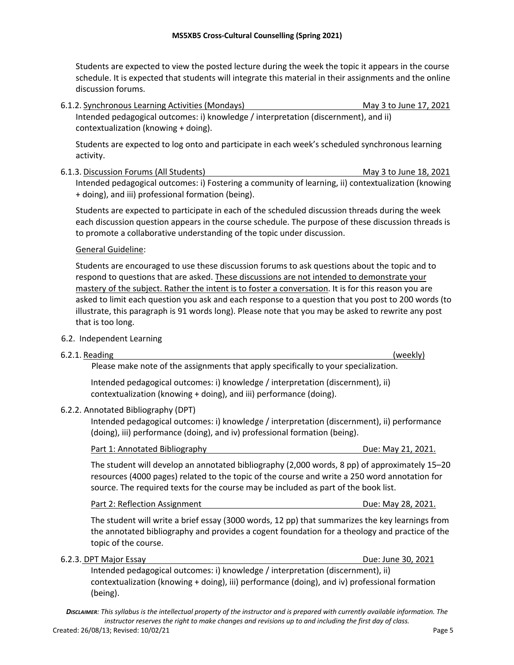Students are expected to view the posted lecture during the week the topic it appears in the course schedule. It is expected that students will integrate this material in their assignments and the online discussion forums.

6.1.2. Synchronous Learning Activities (Mondays) May 3 to June 17, 2021 Intended pedagogical outcomes: i) knowledge / interpretation (discernment), and ii) contextualization (knowing + doing).

Students are expected to log onto and participate in each week's scheduled synchronous learning activity.

6.1.3. Discussion Forums (All Students) May 3 to June 18, 2021 Intended pedagogical outcomes: i) Fostering a community of learning, ii) contextualization (knowing + doing), and iii) professional formation (being).

Students are expected to participate in each of the scheduled discussion threads during the week each discussion question appears in the course schedule. The purpose of these discussion threads is to promote a collaborative understanding of the topic under discussion.

## General Guideline:

Students are encouraged to use these discussion forums to ask questions about the topic and to respond to questions that are asked. These discussions are not intended to demonstrate your mastery of the subject. Rather the intent is to foster a conversation. It is for this reason you are asked to limit each question you ask and each response to a question that you post to 200 words (to illustrate, this paragraph is 91 words long). Please note that you may be asked to rewrite any post that is too long.

## 6.2. Independent Learning

# 6.2.1. Reading (weekly) Please make note of the assignments that apply specifically to your specialization. Intended pedagogical outcomes: i) knowledge / interpretation (discernment), ii) contextualization (knowing + doing), and iii) performance (doing). 6.2.2. Annotated Bibliography (DPT) Intended pedagogical outcomes: i) knowledge / interpretation (discernment), ii) performance (doing), iii) performance (doing), and iv) professional formation (being). Part 1: Annotated Bibliography **Due: May 21, 2021.** The student will develop an annotated bibliography (2,000 words, 8 pp) of approximately 15–20 resources (4000 pages) related to the topic of the course and write a 250 word annotation for source. The required texts for the course may be included as part of the book list. Part 2: Reflection Assignment Due: May 28, 2021. The student will write a brief essay (3000 words, 12 pp) that summarizes the key learnings from the annotated bibliography and provides a cogent foundation for a theology and practice of the topic of the course. 6.2.3. DPT Major Essay Due: June 30, 2021 Intended pedagogical outcomes: i) knowledge / interpretation (discernment), ii) contextualization (knowing + doing), iii) performance (doing), and iv) professional formation (being).

*DISCLAIMER: This syllabus is the intellectual property of the instructor and is prepared with currently available information. The instructor reserves the right to make changes and revisions up to and including the first day of class.* Created: 26/08/13; Revised: 10/02/21 Page 5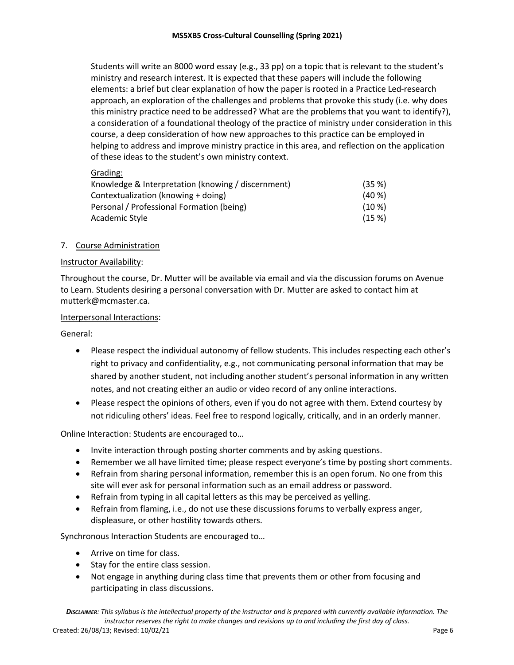Students will write an 8000 word essay (e.g., 33 pp) on a topic that is relevant to the student's ministry and research interest. It is expected that these papers will include the following elements: a brief but clear explanation of how the paper is rooted in a Practice Led-research approach, an exploration of the challenges and problems that provoke this study (i.e. why does this ministry practice need to be addressed? What are the problems that you want to identify?), a consideration of a foundational theology of the practice of ministry under consideration in this course, a deep consideration of how new approaches to this practice can be employed in helping to address and improve ministry practice in this area, and reflection on the application of these ideas to the student's own ministry context.

Grading:

| Knowledge & Interpretation (knowing / discernment) | (35%)     |
|----------------------------------------------------|-----------|
| Contextualization (knowing + doing)                | $(40\%)$  |
| Personal / Professional Formation (being)          | $(10 \%)$ |
| Academic Style                                     | (15%)     |

## 7. Course Administration

## Instructor Availability:

Throughout the course, Dr. Mutter will be available via email and via the discussion forums on Avenue to Learn. Students desiring a personal conversation with Dr. Mutter are asked to contact him at mutterk@mcmaster.ca.

### Interpersonal Interactions:

General:

- Please respect the individual autonomy of fellow students. This includes respecting each other's right to privacy and confidentiality, e.g., not communicating personal information that may be shared by another student, not including another student's personal information in any written notes, and not creating either an audio or video record of any online interactions.
- Please respect the opinions of others, even if you do not agree with them. Extend courtesy by not ridiculing others' ideas. Feel free to respond logically, critically, and in an orderly manner.

Online Interaction: Students are encouraged to…

- Invite interaction through posting shorter comments and by asking questions.
- Remember we all have limited time; please respect everyone's time by posting short comments.
- Refrain from sharing personal information, remember this is an open forum. No one from this site will ever ask for personal information such as an email address or password.
- Refrain from typing in all capital letters as this may be perceived as yelling.
- Refrain from flaming, i.e., do not use these discussions forums to verbally express anger, displeasure, or other hostility towards others.

Synchronous Interaction Students are encouraged to…

- Arrive on time for class.
- Stay for the entire class session.
- Not engage in anything during class time that prevents them or other from focusing and participating in class discussions.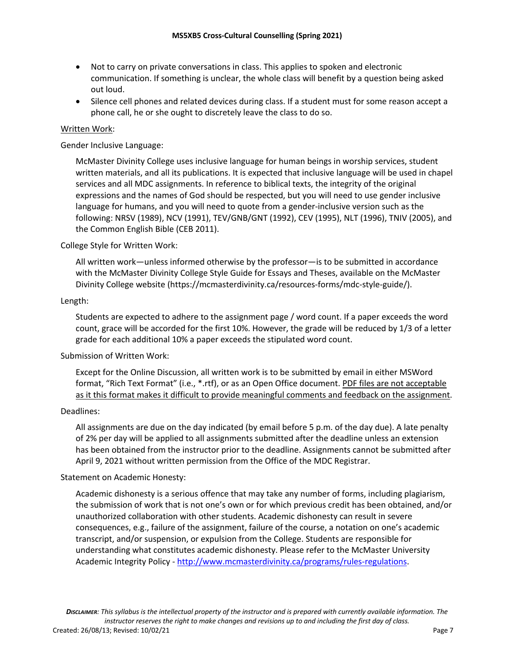- Not to carry on private conversations in class. This applies to spoken and electronic communication. If something is unclear, the whole class will benefit by a question being asked out loud.
- Silence cell phones and related devices during class. If a student must for some reason accept a phone call, he or she ought to discretely leave the class to do so.

### Written Work:

Gender Inclusive Language:

McMaster Divinity College uses inclusive language for human beings in worship services, student written materials, and all its publications. It is expected that inclusive language will be used in chapel services and all MDC assignments. In reference to biblical texts, the integrity of the original expressions and the names of God should be respected, but you will need to use gender inclusive language for humans, and you will need to quote from a gender-inclusive version such as the following: NRSV (1989), NCV (1991), TEV/GNB/GNT (1992), CEV (1995), NLT (1996), TNIV (2005), and the Common English Bible (CEB 2011).

### College Style for Written Work:

All written work—unless informed otherwise by the professor—is to be submitted in accordance with the McMaster Divinity College Style Guide for Essays and Theses, available on the McMaster Divinity College website (https://mcmasterdivinity.ca/resources-forms/mdc-style-guide/).

### Length:

Students are expected to adhere to the assignment page / word count. If a paper exceeds the word count, grace will be accorded for the first 10%. However, the grade will be reduced by 1/3 of a letter grade for each additional 10% a paper exceeds the stipulated word count.

## Submission of Written Work:

Except for the Online Discussion, all written work is to be submitted by email in either MSWord format, "Rich Text Format" (i.e., \*.rtf), or as an Open Office document. PDF files are not acceptable as it this format makes it difficult to provide meaningful comments and feedback on the assignment.

### Deadlines:

All assignments are due on the day indicated (by email before 5 p.m. of the day due). A late penalty of 2% per day will be applied to all assignments submitted after the deadline unless an extension has been obtained from the instructor prior to the deadline. Assignments cannot be submitted after April 9, 2021 without written permission from the Office of the MDC Registrar.

### Statement on Academic Honesty:

Academic dishonesty is a serious offence that may take any number of forms, including plagiarism, the submission of work that is not one's own or for which previous credit has been obtained, and/or unauthorized collaboration with other students. Academic dishonesty can result in severe consequences, e.g., failure of the assignment, failure of the course, a notation on one's academic transcript, and/or suspension, or expulsion from the College. Students are responsible for understanding what constitutes academic dishonesty. Please refer to the McMaster University Academic Integrity Policy - http://www.mcmasterdivinity.ca/programs/rules-regulations.